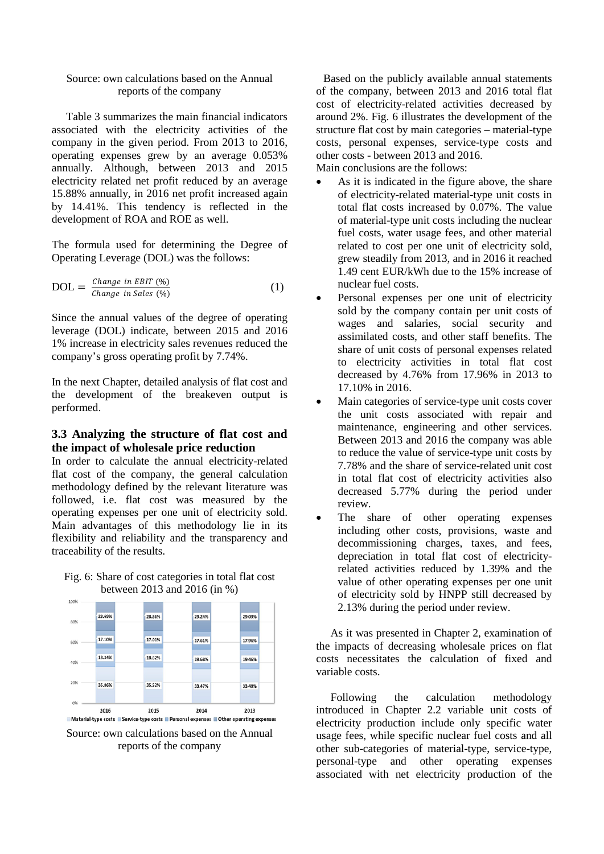## Source: own calculations based on the Annual reports of the company

Table 3 summarizes the main financial indicators associated with the electricity activities of the company in the given period. From 2013 to 2016, operating expenses grew by an average 0.053% annually. Although, between 2013 and 2015 electricity related net profit reduced by an average 15.88% annually, in 2016 net profit increased again by 14.41%. This tendency is reflected in the development of ROA and ROE as well.

The formula used for determining the Degree of Operating Leverage (DOL) was the follows:

$$
DOL = \frac{Change \ in \ EBIT \ (\%)}{Change \ in \ Sales \ (\%)} \tag{1}
$$

Since the annual values of the degree of operating leverage (DOL) indicate, between 2015 and 2016 1% increase in electricity sales revenues reduced the company's gross operating profit by 7.74%.

In the next Chapter, detailed analysis of flat cost and the development of the breakeven output is performed.

## **3.3 Analyzing the structure of flat cost and the impact of wholesale price reduction**

In order to calculate the annual electricity-related flat cost of the company, the general calculation methodology defined by the relevant literature was followed, i.e. flat cost was measured by the operating expenses per one unit of electricity sold. Main advantages of this methodology lie in its flexibility and reliability and the transparency and traceability of the results.





Source: own calculations based on the Annual reports of the company

Based on the publicly available annual statements of the company, between 2013 and 2016 total flat cost of electricity-related activities decreased by around 2%. Fig. 6 illustrates the development of the structure flat cost by main categories – material-type costs, personal expenses, service-type costs and other costs - between 2013 and 2016.

Main conclusions are the follows:

- As it is indicated in the figure above, the share of electricity-related material-type unit costs in total flat costs increased by 0.07%. The value of material-type unit costs including the nuclear fuel costs, water usage fees, and other material related to cost per one unit of electricity sold, grew steadily from 2013, and in 2016 it reached 1.49 cent EUR/kWh due to the 15% increase of nuclear fuel costs.
- Personal expenses per one unit of electricity sold by the company contain per unit costs of wages and salaries, social security and assimilated costs, and other staff benefits. The share of unit costs of personal expenses related to electricity activities in total flat cost decreased by 4.76% from 17.96% in 2013 to 17.10% in 2016.
- Main categories of service-type unit costs cover the unit costs associated with repair and maintenance, engineering and other services. Between 2013 and 2016 the company was able to reduce the value of service-type unit costs by 7.78% and the share of service-related unit cost in total flat cost of electricity activities also decreased 5.77% during the period under review.
- The share of other operating expenses including other costs, provisions, waste and decommissioning charges, taxes, and fees, depreciation in total flat cost of electricityrelated activities reduced by 1.39% and the value of other operating expenses per one unit of electricity sold by HNPP still decreased by 2.13% during the period under review.

As it was presented in Chapter 2, examination of the impacts of decreasing wholesale prices on flat costs necessitates the calculation of fixed and variable costs.

Following the calculation methodology introduced in Chapter 2.2 variable unit costs of electricity production include only specific water usage fees, while specific nuclear fuel costs and all other sub-categories of material-type, service-type, personal-type and other operating expenses associated with net electricity production of the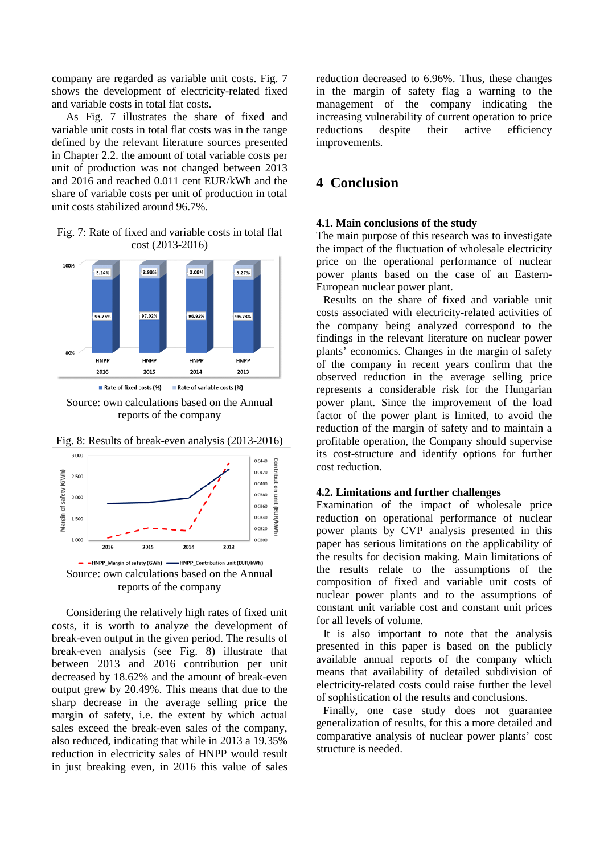company are regarded as variable unit costs. Fig. 7 shows the development of electricity-related fixed and variable costs in total flat costs.

As Fig. 7 illustrates the share of fixed and variable unit costs in total flat costs was in the range defined by the relevant literature sources presented in Chapter 2.2. the amount of total variable costs per unit of production was not changed between 2013 and 2016 and reached 0.011 cent EUR/kWh and the share of variable costs per unit of production in total unit costs stabilized around 96.7%.

Fig. 7: Rate of fixed and variable costs in total flat cost (2013-2016)







Fig. 8: Results of break-even analysis (2013-2016)

Considering the relatively high rates of fixed unit costs, it is worth to analyze the development of break-even output in the given period. The results of break-even analysis (see Fig. 8) illustrate that between 2013 and 2016 contribution per unit decreased by 18.62% and the amount of break-even output grew by 20.49%. This means that due to the sharp decrease in the average selling price the margin of safety, i.e. the extent by which actual sales exceed the break-even sales of the company, also reduced, indicating that while in 2013 a 19.35% reduction in electricity sales of HNPP would result in just breaking even, in 2016 this value of sales reduction decreased to 6.96%. Thus, these changes in the margin of safety flag a warning to the management of the company indicating the increasing vulnerability of current operation to price reductions despite their active efficiency improvements.

# **4 Conclusion**

### **4.1. Main conclusions of the study**

The main purpose of this research was to investigate the impact of the fluctuation of wholesale electricity price on the operational performance of nuclear power plants based on the case of an Eastern-European nuclear power plant.

Results on the share of fixed and variable unit costs associated with electricity-related activities of the company being analyzed correspond to the findings in the relevant literature on nuclear power plants' economics. Changes in the margin of safety of the company in recent years confirm that the observed reduction in the average selling price represents a considerable risk for the Hungarian power plant. Since the improvement of the load factor of the power plant is limited, to avoid the reduction of the margin of safety and to maintain a profitable operation, the Company should supervise its cost-structure and identify options for further cost reduction.

#### **4.2. Limitations and further challenges**

Examination of the impact of wholesale price reduction on operational performance of nuclear power plants by CVP analysis presented in this paper has serious limitations on the applicability of the results for decision making. Main limitations of the results relate to the assumptions of the composition of fixed and variable unit costs of nuclear power plants and to the assumptions of constant unit variable cost and constant unit prices for all levels of volume.

It is also important to note that the analysis presented in this paper is based on the publicly available annual reports of the company which means that availability of detailed subdivision of electricity-related costs could raise further the level of sophistication of the results and conclusions.

Finally, one case study does not guarantee generalization of results, for this a more detailed and comparative analysis of nuclear power plants' cost structure is needed.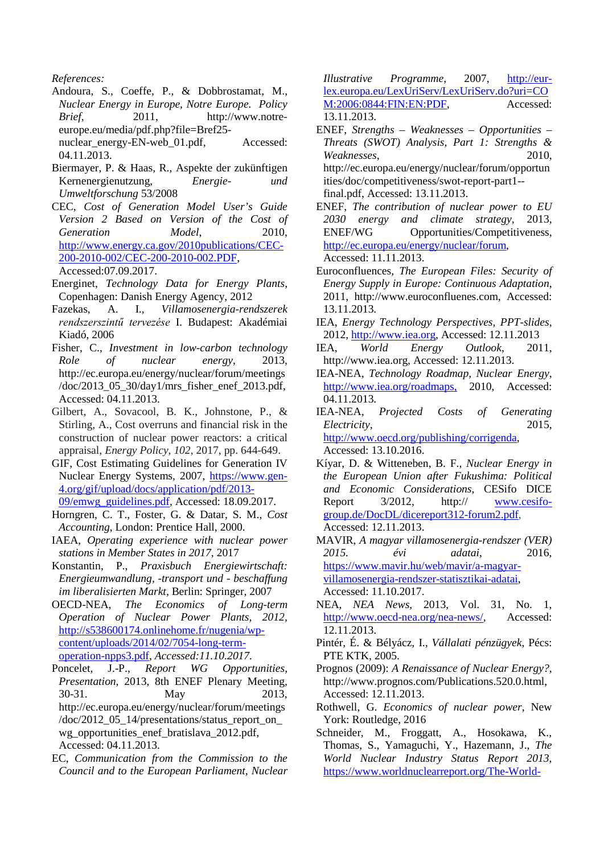Andoura, S., Coeffe, P., & Dobbrostamat, M., *Nuclear Energy in Europe, Notre Europe. Policy Brief*, 2011, [http://www.notre](http://www.notre-europe.eu/media/pdf.php?file=Bref25-nuclear_energy-EN-web_01.pdf)[europe.eu/media/pdf.php?file=Bref25-](http://www.notre-europe.eu/media/pdf.php?file=Bref25-nuclear_energy-EN-web_01.pdf)

[nuclear\\_energy-EN-web\\_01.pdf,](http://www.notre-europe.eu/media/pdf.php?file=Bref25-nuclear_energy-EN-web_01.pdf) Accessed: 04.11.2013.

- Biermayer, P. & Haas, R., Aspekte der zukünftigen Kernenergienutzung, *Energie- und Umweltforschung* 53/2008
- CEC, *Cost of Generation Model User's Guide Version 2 Based on Version of the Cost of Generation Model*, 2010, [http://www.energy.ca.gov/2010publications/CEC-](http://www.energy.ca.gov/2010publications/CEC-200-2010-002/CEC-200-2010-002.PDF)[200-2010-002/CEC-200-2010-002.PDF,](http://www.energy.ca.gov/2010publications/CEC-200-2010-002/CEC-200-2010-002.PDF) Accessed:07.09.2017.
- Energinet, *Technology Data for Energy Plants*, Copenhagen: Danish Energy Agency, 2012
- Fazekas, A. I., *Villamosenergia-rendszerek rendszerszintű tervezése* I. Budapest: Akadémiai Kiadó, 2006
- Fisher, C., *Investment in low-carbon technology Role of nuclear energy*, 2013, [http://ec.europa.eu/energy/nuclear/forum/meetings](http://ec.europa.eu/energy/nuclear/forum/meetings/doc/2013_05_30/day1/mrs_fisher_enef_2013.pdf) [/doc/2013\\_05\\_30/day1/mrs\\_fisher\\_enef\\_2013.pdf,](http://ec.europa.eu/energy/nuclear/forum/meetings/doc/2013_05_30/day1/mrs_fisher_enef_2013.pdf) Accessed: 04.11.2013.
- Gilbert, A., Sovacool, B. K., Johnstone, P., & Stirling, A., Cost overruns and financial risk in the construction of nuclear power reactors: a critical appraisal, *Energy Policy*, *102*, 2017, pp. 644-649.
- GIF, Cost Estimating Guidelines for Generation IV Nuclear Energy Systems, 2007, [https://www.gen-](https://www.gen-4.org/gif/upload/docs/application/pdf/2013-09/emwg_guidelines.pdf)[4.org/gif/upload/docs/application/pdf/2013-](https://www.gen-4.org/gif/upload/docs/application/pdf/2013-09/emwg_guidelines.pdf) [09/emwg\\_guidelines.pdf,](https://www.gen-4.org/gif/upload/docs/application/pdf/2013-09/emwg_guidelines.pdf) Accessed: 18.09.2017.
- Horngren, C. T., Foster, G. & Datar, S. M., *Cost Accounting*, London: Prentice Hall, 2000.
- IAEA, *Operating experience with nuclear power stations in Member States in 2017*, 2017
- Konstantin, P., *Praxisbuch Energiewirtschaft: Energieumwandlung, -transport und - beschaffung im liberalisierten Markt,* Berlin: Springer, 2007
- OECD-NEA, *The Economics of Long-term Operation of Nuclear Power Plants, 2012,*  [http://s538600174.onlinehome.fr/nugenia/wp](http://s538600174.onlinehome.fr/nugenia/wp-content/uploads/2014/02/7054-long-term-operation-npps3.pdf)[content/uploads/2014/02/7054-long-term](http://s538600174.onlinehome.fr/nugenia/wp-content/uploads/2014/02/7054-long-term-operation-npps3.pdf)[operation-npps3.pdf,](http://s538600174.onlinehome.fr/nugenia/wp-content/uploads/2014/02/7054-long-term-operation-npps3.pdf) *Accessed:11.10.2017.*
- Poncelet, J.-P., *Report WG Opportunities, Presentation*, 2013, 8th ENEF Plenary Meeting, 30-31. May 2013, [http://ec.europa.eu/energy/nuclear/forum/meetings](http://ec.europa.eu/energy/nuclear/forum/meetings/doc/2012_05_14/presentations/status_report_on_wg_opportunities_enef_bratislava_2012.pdf)  $/$ doc $/2012$  05 14/presentations/status report on [wg\\_opportunities\\_enef\\_bratislava\\_2012.pdf,](http://ec.europa.eu/energy/nuclear/forum/meetings/doc/2012_05_14/presentations/status_report_on_wg_opportunities_enef_bratislava_2012.pdf) Accessed: 04.11.2013.
- EC, *Communication from the Commission to the Council and to the European Parliament, Nuclear*

*Illustrative Programme*, 2007, [http://eur](http://eur-lex.europa.eu/LexUriServ/LexUriServ.do?uri=COM:2006:0844:FIN:EN:PDF)[lex.europa.eu/LexUriServ/LexUriServ.do?uri=CO](http://eur-lex.europa.eu/LexUriServ/LexUriServ.do?uri=COM:2006:0844:FIN:EN:PDF) [M:2006:0844:FIN:EN:PDF,](http://eur-lex.europa.eu/LexUriServ/LexUriServ.do?uri=COM:2006:0844:FIN:EN:PDF) Accessed: 13.11.2013.

- ENEF, *Strengths Weaknesses Opportunities Threats (SWOT) Analysis, Part 1: Strengths & Weaknesses*, 2010, [http://ec.europa.eu/energy/nuclear/forum/opportun](http://ec.europa.eu/energy/nuclear/forum/opportunities/doc/competitiveness/swot-report-part1--final.pdf) [ities/doc/competitiveness/swot-report-part1-](http://ec.europa.eu/energy/nuclear/forum/opportunities/doc/competitiveness/swot-report-part1--final.pdf) [final.pdf,](http://ec.europa.eu/energy/nuclear/forum/opportunities/doc/competitiveness/swot-report-part1--final.pdf) Accessed: 13.11.2013.
- ENEF, *The contribution of nuclear power to EU 2030 energy and climate strategy*, 2013, ENEF/WG Opportunities/Competitiveness, [http://ec.europa.eu/energy/nuclear/forum,](http://ec.europa.eu/energy/nuclear/forum) Accessed: 11.11.2013.
- Euroconfluences, *The European Files: Security of Energy Supply in Europe: Continuous Adaptation*, 2011, [http://www.euroconfluenes.com,](http://www.euroconfluenes.com/) Accessed: 13.11.2013.
- IEA, *Energy Technology Perspectives, PPT-slides*, 2012, [http://www.iea.org,](http://www.iea.org/) Accessed: 12.11.2013
- IEA, *World Energy Outlook*, 2011, [http://www.iea.org,](http://www.iea.org/) Accessed: 12.11.2013.
- IEA-NEA, *Technology Roadmap, Nuclear Energy*, <http://www.iea.org/roadmaps,>2010, Accessed: 04.11.2013.
- IEA-NEA, *Projected Costs of Generating Electricity*, 2015, [http://www.oecd.org/publishing/corrigenda,](http://www.oecd.org/publishing/corrigenda) Accessed: 13.10.2016.
- Kíyar, D. & Witteneben, B. F., *Nuclear Energy in the European Union after Fukushima: Political and Economic Considerations*, CESifo DICE Report  $3/2012$ , http:// [www.cesifo](http://www.cesifo-group.de/DocDL/dicereport312-forum2.pdf)[group.de/DocDL/dicereport312-forum2.pdf,](http://www.cesifo-group.de/DocDL/dicereport312-forum2.pdf) Accessed: 12.11.2013.
- MAVIR, *A magyar villamosenergia-rendszer (VER) 2015. évi adatai*, 2016, [https://www.mavir.hu/web/mavir/a-magyar](https://www.mavir.hu/web/mavir/a-magyar-villamosenergia-rendszer-statisztikai-adatai)[villamosenergia-rendszer-statisztikai-adatai,](https://www.mavir.hu/web/mavir/a-magyar-villamosenergia-rendszer-statisztikai-adatai) Accessed: 11.10.2017.
- NEA, *NEA News*, 2013, Vol. 31, No. 1, [http://www.oecd-nea.org/nea-news/,](http://www.oecd-nea.org/nea-news/) Accessed: 12.11.2013.
- Pintér, É. & Bélyácz, I., *Vállalati pénzügyek*, Pécs: PTE KTK, 2005.
- Prognos (2009): *A Renaissance of Nuclear Energy?*, http://www.prognos.com/Publications.520.0.html, Accessed: 12.11.2013.
- Rothwell, G. *Economics of nuclear power*, New York: Routledge, 2016
- Schneider, M., Froggatt, A., Hosokawa, K., Thomas, S., Yamaguchi, Y., Hazemann, J., *The World Nuclear Industry Status Report 2013*, [https://www.worldnuclearreport.org/The-World-](https://www.worldnuclearreport.org/The-World-Nuclear-Industry-Status-Report-2013-HTML.html)

*References:*